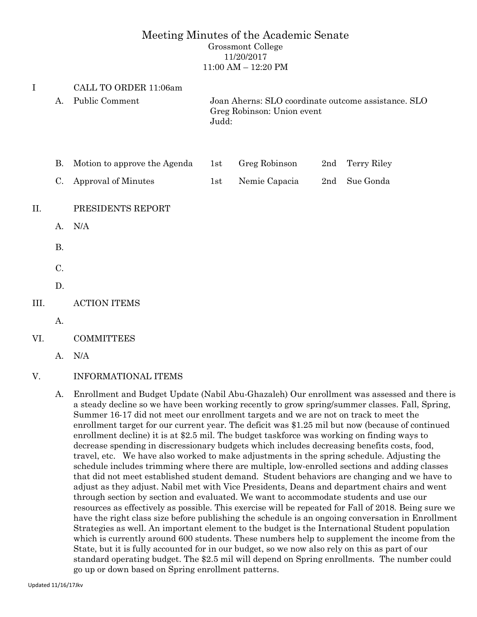### Meeting Minutes of the Academic Senate Grossmont College 11/20/2017

11:00 AM – 12:20 PM

| $\mathbf I$ |           | CALL TO ORDER 11:06am        |                                                                                            |               |     |             |  |  |  |
|-------------|-----------|------------------------------|--------------------------------------------------------------------------------------------|---------------|-----|-------------|--|--|--|
|             | А.        | Public Comment               | Joan Aherns: SLO coordinate outcome assistance. SLO<br>Greg Robinson: Union event<br>Judd: |               |     |             |  |  |  |
|             | <b>B.</b> | Motion to approve the Agenda | 1st                                                                                        | Greg Robinson | 2nd | Terry Riley |  |  |  |
|             | C.        | Approval of Minutes          | 1st                                                                                        | Nemie Capacia | 2nd | Sue Gonda   |  |  |  |
| II.         |           | PRESIDENTS REPORT            |                                                                                            |               |     |             |  |  |  |
|             | А.        | N/A                          |                                                                                            |               |     |             |  |  |  |
|             | <b>B.</b> |                              |                                                                                            |               |     |             |  |  |  |
|             | C.        |                              |                                                                                            |               |     |             |  |  |  |
|             | D.        |                              |                                                                                            |               |     |             |  |  |  |
| III.        |           | <b>ACTION ITEMS</b>          |                                                                                            |               |     |             |  |  |  |
|             | А.        |                              |                                                                                            |               |     |             |  |  |  |
| VI.         |           | <b>COMMITTEES</b>            |                                                                                            |               |     |             |  |  |  |
|             | А.        | N/A                          |                                                                                            |               |     |             |  |  |  |

# V. INFORMATIONAL ITEMS

A. Enrollment and Budget Update (Nabil Abu-Ghazaleh) Our enrollment was assessed and there is a steady decline so we have been working recently to grow spring/summer classes. Fall, Spring, Summer 16-17 did not meet our enrollment targets and we are not on track to meet the enrollment target for our current year. The deficit was \$1.25 mil but now (because of continued enrollment decline) it is at \$2.5 mil. The budget taskforce was working on finding ways to decrease spending in discressionary budgets which includes decreasing benefits costs, food, travel, etc. We have also worked to make adjustments in the spring schedule. Adjusting the schedule includes trimming where there are multiple, low-enrolled sections and adding classes that did not meet established student demand. Student behaviors are changing and we have to adjust as they adjust. Nabil met with Vice Presidents, Deans and department chairs and went through section by section and evaluated. We want to accommodate students and use our resources as effectively as possible. This exercise will be repeated for Fall of 2018. Being sure we have the right class size before publishing the schedule is an ongoing conversation in Enrollment Strategies as well. An important element to the budget is the International Student population which is currently around 600 students. These numbers help to supplement the income from the State, but it is fully accounted for in our budget, so we now also rely on this as part of our standard operating budget. The \$2.5 mil will depend on Spring enrollments. The number could go up or down based on Spring enrollment patterns.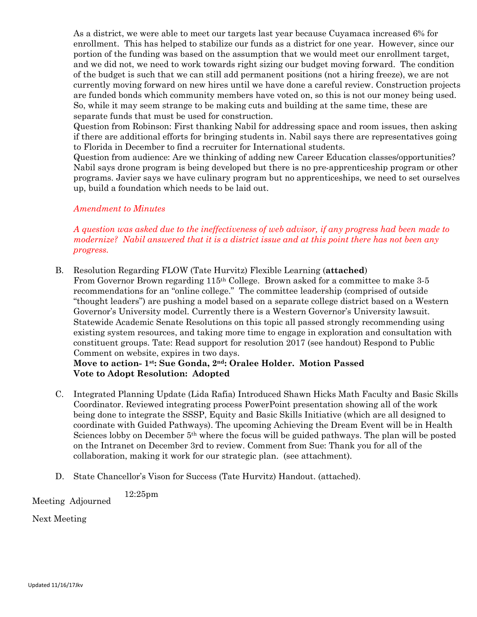As a district, we were able to meet our targets last year because Cuyamaca increased 6% for enrollment. This has helped to stabilize our funds as a district for one year. However, since our portion of the funding was based on the assumption that we would meet our enrollment target, and we did not, we need to work towards right sizing our budget moving forward. The condition of the budget is such that we can still add permanent positions (not a hiring freeze), we are not currently moving forward on new hires until we have done a careful review. Construction projects are funded bonds which community members have voted on, so this is not our money being used. So, while it may seem strange to be making cuts and building at the same time, these are separate funds that must be used for construction.

Question from Robinson: First thanking Nabil for addressing space and room issues, then asking if there are additional efforts for bringing students in. Nabil says there are representatives going to Florida in December to find a recruiter for International students.

Question from audience: Are we thinking of adding new Career Education classes/opportunities? Nabil says drone program is being developed but there is no pre-apprenticeship program or other programs. Javier says we have culinary program but no apprenticeships, we need to set ourselves up, build a foundation which needs to be laid out.

#### *Amendment to Minutes*

*A question was asked due to the ineffectiveness of web advisor, if any progress had been made to modernize? Nabil answered that it is a district issue and at this point there has not been any progress.*

B. Resolution Regarding FLOW (Tate Hurvitz) Flexible Learning (**attached**) From Governor Brown regarding 115th College. Brown asked for a committee to make 3-5 recommendations for an "online college." The committee leadership (comprised of outside "thought leaders") are pushing a model based on a separate college district based on a Western Governor's University model. Currently there is a Western Governor's University lawsuit. Statewide Academic Senate Resolutions on this topic all passed strongly recommending using existing system resources, and taking more time to engage in exploration and consultation with constituent groups. Tate: Read support for resolution 2017 (see handout) Respond to Public Comment on website, expires in two days.

## **Move to action- 1st: Sue Gonda, 2nd: Oralee Holder. Motion Passed Vote to Adopt Resolution: Adopted**

- C. Integrated Planning Update (Lida Rafia) Introduced Shawn Hicks Math Faculty and Basic Skills Coordinator. Reviewed integrating process PowerPoint presentation showing all of the work being done to integrate the SSSP, Equity and Basic Skills Initiative (which are all designed to coordinate with Guided Pathways). The upcoming Achieving the Dream Event will be in Health Sciences lobby on December 5th where the focus will be guided pathways. The plan will be posted on the Intranet on December 3rd to review. Comment from Sue: Thank you for all of the collaboration, making it work for our strategic plan. (see attachment).
- D. State Chancellor's Vison for Success (Tate Hurvitz) Handout. (attached).

Meeting Adjourned 12:25pm

Next Meeting